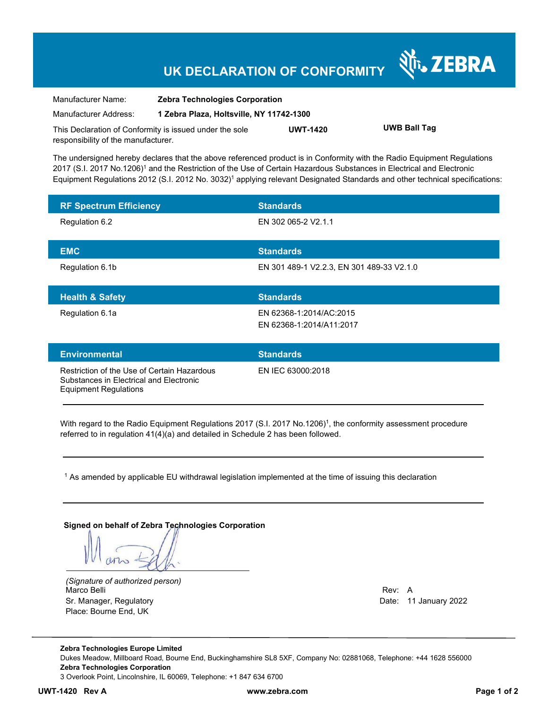## **UK DECLARATION OF CONFORMITY**

| Manufacturer Name:                                      | <b>Zebra Technologies Corporation</b>    |                 |                     |
|---------------------------------------------------------|------------------------------------------|-----------------|---------------------|
| Manufacturer Address:                                   | 1 Zebra Plaza, Holtsville, NY 11742-1300 |                 |                     |
| This Declaration of Conformity is issued under the sole |                                          | <b>UWT-1420</b> | <b>UWB Ball Tag</b> |
| responsibility of the manufacturer.                     |                                          |                 |                     |

The undersigned hereby declares that the above referenced product is in Conformity with the Radio Equipment Regulations 2017 (S.I. 2017 No.1206)<sup>1</sup> and the Restriction of the Use of Certain Hazardous Substances in Electrical and Electronic Equipment Regulations 2012 (S.I. 2012 No. 3032)<sup>1</sup> applying relevant Designated Standards and other technical specifications:

| <b>RF Spectrum Efficiency</b> | <b>Standards</b>                                    |
|-------------------------------|-----------------------------------------------------|
| Regulation 6.2                | EN 302 065-2 V2.1.1                                 |
| <b>EMC</b>                    | <b>Standards</b>                                    |
| Regulation 6.1b               | EN 301 489-1 V2.2.3, EN 301 489-33 V2.1.0           |
|                               |                                                     |
| <b>Health &amp; Safety</b>    | <b>Standards</b>                                    |
| Regulation 6.1a               | EN 62368-1:2014/AC:2015<br>EN 62368-1:2014/A11:2017 |
| <b>Environmental</b>          | <b>Standards</b>                                    |

iction of the Use of Certain Hazardous Substances in Electrical and Electronic Equipment Regulations

EN IEC 63000:2018

With regard to the Radio Equipment Regulations 2017 (S.I. 2017 No.1206)<sup>1</sup>, the conformity assessment procedure referred to in regulation 41(4)(a) and detailed in Schedule 2 has been followed.

 $^{\rm 1}$  As amended by applicable EU withdrawal legislation implemented at the time of issuing this declaration

**Signed on behalf of Zebra Technologies Corporation** 

*(Signature of authorized person)* Marco Belli Rev: A Annual Rev: A Annual Rev: A Annual Rev: A Annual Rev: A Annual Rev: A Annual Rev: A Annual Rev Sr. Manager, Regulatory **Date: 11 January 2022** Place: Bourne End, UK

र्शे<sub>ं</sub> ZEBRA

**Zebra Technologies Europe Limited**  Dukes Meadow, Millboard Road, Bourne End, Buckinghamshire SL8 5XF, Company No: 02881068, Telephone: +44 1628 556000 **Zebra Technologies Corporation**  3 Overlook Point, Lincolnshire, IL 60069, Telephone: +1 847 634 6700